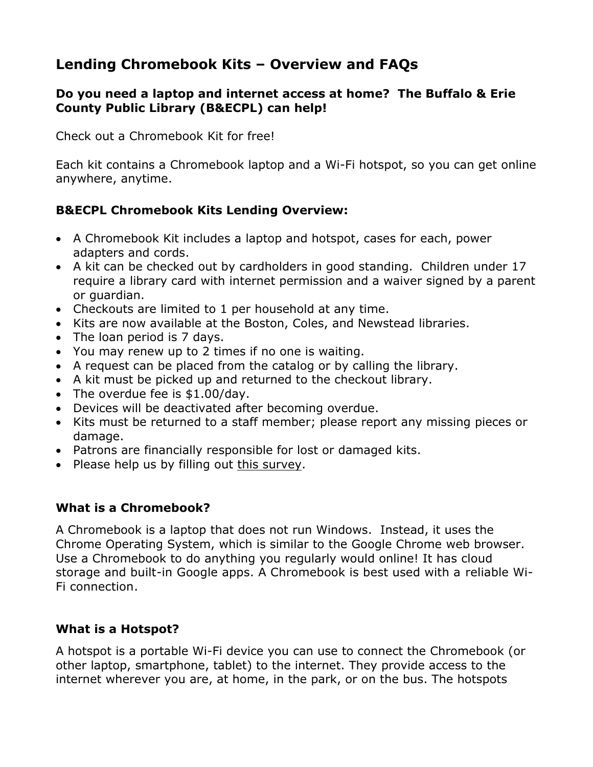# **Lending Chromebook Kits – Overview and FAQs**

#### **Do you need a laptop and internet access at home? The Buffalo & Erie County Public Library (B&ECPL) can help!**

Check out a Chromebook Kit for free!

Each kit contains a Chromebook laptop and a Wi-Fi hotspot, so you can get online anywhere, anytime.

# **B&ECPL Chromebook Kits Lending Overview:**

- A Chromebook Kit includes a laptop and hotspot, cases for each, power adapters and cords.
- A kit can be checked out by cardholders in good standing. Children under 17 require a library card with internet permission and a waiver signed by a parent or guardian.
- Checkouts are limited to 1 per household at any time.
- Kits are now available at the Boston, Coles, and Newstead libraries.
- The loan period is 7 days.
- You may renew up to 2 times if no one is waiting.
- A request can be placed from the catalog or by calling the library.
- A kit must be picked up and returned to the checkout library.
- The overdue fee is \$1.00/day.
- Devices will be deactivated after becoming overdue.
- Kits must be returned to a staff member; please report any missing pieces or damage.
- Patrons are financially responsible for lost or damaged kits.
- Please help us by filling out this [survey.](https://tinyurl.com/BECPLChrome)

## **What is a Chromebook?**

A Chromebook is a laptop that does not run Windows. Instead, it uses the Chrome Operating System, which is similar to the Google Chrome web browser. Use a Chromebook to do anything you regularly would online! It has cloud storage and built-in Google apps. A Chromebook is best used with a reliable Wi-Fi connection.

## **What is a Hotspot?**

A hotspot is a portable Wi-Fi device you can use to connect the Chromebook (or other laptop, smartphone, tablet) to the internet. They provide access to the internet wherever you are, at home, in the park, or on the bus. The hotspots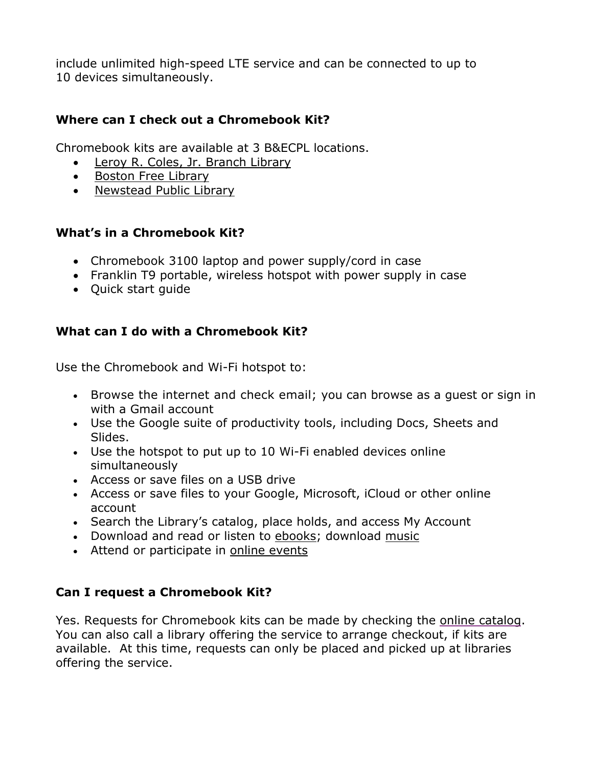include unlimited high-speed LTE service and can be connected to up to 10 devices simultaneously.

## **Where can I check out a Chromebook Kit?**

Chromebook kits are available at 3 B&ECPL locations.

- Leroy R. Coles, Jr. [Branch](https://www.buffalolib.org/locations-hours/leroy-r-coles-jr-branch-library) Library
- Boston Free [Library](https://www.buffalolib.org/locations-hours/boston-free-library)
- [Newstead](https://www.buffalolib.org/locations-hours/newstead-public-library) Public Library

# **What's in a Chromebook Kit?**

- Chromebook 3100 laptop and power supply/cord in case
- Franklin T9 portable, wireless hotspot with power supply in case
- Quick start guide

# **What can I do with a Chromebook Kit?**

Use the Chromebook and Wi-Fi hotspot to:

- Browse the internet and check email; you can browse as a guest or sign in with a Gmail account
- Use the Google suite of productivity tools, including Docs, Sheets and Slides.
- Use the hotspot to put up to 10 Wi-Fi enabled devices online simultaneously
- Access or save files on a USB drive
- Access or save files to your Google, Microsoft, iCloud or other online account
- Search the Library's catalog, place holds, and access My Account
- Download and read or listen to [ebooks;](https://buffalo.overdrive.com/) download [music](https://buffalolib.freegalmusic.com/home)
- Attend or participate in online [events](https://buffalolib.libcal.com/calendar/events/?cid=12898&t=d&d=0000-00-00&cal=12898&inc=1)

## **Can I request a Chromebook Kit?**

Yes. Requests for Chromebook kits can be made by checking the online [catalog.](https://bepl.ent.siri.net/) You can also call a library offering the service to arrange checkout, if kits are available. At this time, requests can only be placed and picked up at libraries offering the service.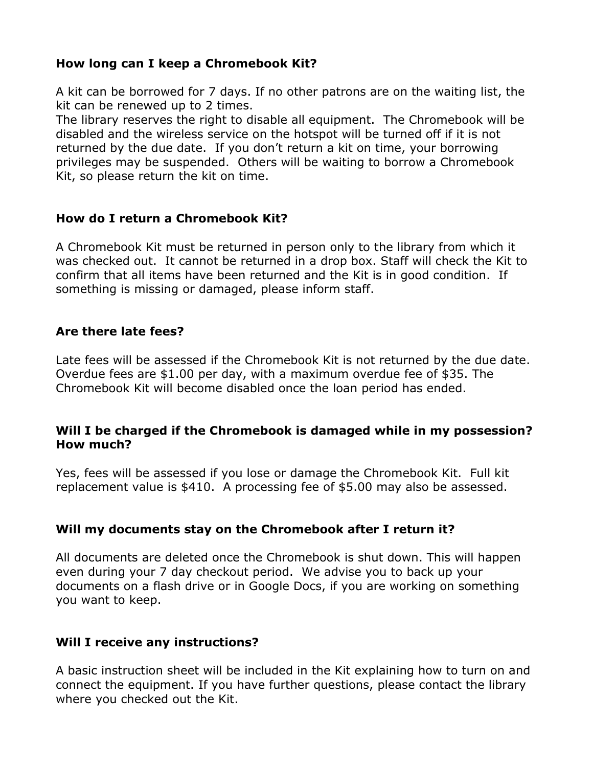#### **How long can I keep a Chromebook Kit?**

A kit can be borrowed for 7 days. If no other patrons are on the waiting list, the kit can be renewed up to 2 times.

The library reserves the right to disable all equipment. The Chromebook will be disabled and the wireless service on the hotspot will be turned off if it is not returned by the due date. If you don't return a kit on time, your borrowing privileges may be suspended. Others will be waiting to borrow a Chromebook Kit, so please return the kit on time.

#### **How do I return a Chromebook Kit?**

A Chromebook Kit must be returned in person only to the library from which it was checked out. It cannot be returned in a drop box. Staff will check the Kit to confirm that all items have been returned and the Kit is in good condition. If something is missing or damaged, please inform staff.

#### **Are there late fees?**

Late fees will be assessed if the Chromebook Kit is not returned by the due date. Overdue fees are \$1.00 per day, with a maximum overdue fee of \$35. The Chromebook Kit will become disabled once the loan period has ended.

#### **Will I be charged if the Chromebook is damaged while in my possession? How much?**

Yes, fees will be assessed if you lose or damage the Chromebook Kit. Full kit replacement value is \$410. A processing fee of \$5.00 may also be assessed.

## **Will my documents stay on the Chromebook after I return it?**

All documents are deleted once the Chromebook is shut down. This will happen even during your 7 day checkout period. We advise you to back up your documents on a flash drive or in Google Docs, if you are working on something you want to keep.

#### **Will I receive any instructions?**

A basic instruction sheet will be included in the Kit explaining how to turn on and connect the equipment. If you have further questions, please contact the library where you checked out the Kit.